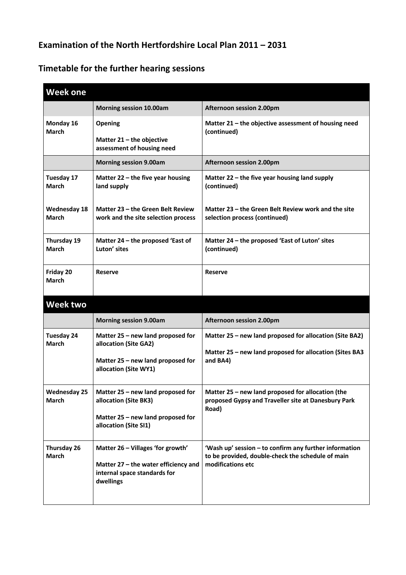## **Examination of the North Hertfordshire Local Plan 2011 – 2031**

## **Timetable for the further hearing sessions**

| <b>Week one</b>                     |                                                                                                                          |                                                                                                                                  |
|-------------------------------------|--------------------------------------------------------------------------------------------------------------------------|----------------------------------------------------------------------------------------------------------------------------------|
|                                     | <b>Morning session 10.00am</b>                                                                                           | Afternoon session 2.00pm                                                                                                         |
| Monday 16<br><b>March</b>           | Opening<br>Matter 21 - the objective<br>assessment of housing need                                                       | Matter $21$ – the objective assessment of housing need<br>(continued)                                                            |
|                                     | <b>Morning session 9.00am</b>                                                                                            | Afternoon session 2.00pm                                                                                                         |
| Tuesday 17<br><b>March</b>          | Matter $22$ – the five year housing<br>land supply                                                                       | Matter 22 – the five year housing land supply<br>(continued)                                                                     |
| <b>Wednesday 18</b><br><b>March</b> | Matter 23 - the Green Belt Review<br>work and the site selection process                                                 | Matter 23 – the Green Belt Review work and the site<br>selection process (continued)                                             |
| Thursday 19<br><b>March</b>         | Matter 24 - the proposed 'East of<br>Luton' sites                                                                        | Matter 24 - the proposed 'East of Luton' sites<br>(continued)                                                                    |
| Friday 20<br><b>March</b>           | <b>Reserve</b>                                                                                                           | <b>Reserve</b>                                                                                                                   |
| <b>Week two</b>                     |                                                                                                                          |                                                                                                                                  |
|                                     | <b>Morning session 9.00am</b>                                                                                            | Afternoon session 2.00pm                                                                                                         |
| <b>Tuesday 24</b><br>March          | Matter 25 - new land proposed for<br>allocation (Site GA2)<br>Matter 25 - new land proposed for<br>allocation (Site WY1) | Matter 25 - new land proposed for allocation (Site BA2)<br>Matter 25 - new land proposed for allocation (Sites BA3<br>and BA4)   |
| <b>Wednesday 25</b><br><b>March</b> | Matter 25 - new land proposed for<br>allocation (Site BK3)<br>Matter 25 - new land proposed for<br>allocation (Site SI1) | Matter 25 - new land proposed for allocation (the<br>proposed Gypsy and Traveller site at Danesbury Park<br>Road)                |
| Thursday 26<br><b>March</b>         | Matter 26 - Villages 'for growth'<br>Matter 27 - the water efficiency and<br>internal space standards for<br>dwellings   | 'Wash up' session - to confirm any further information<br>to be provided, double-check the schedule of main<br>modifications etc |